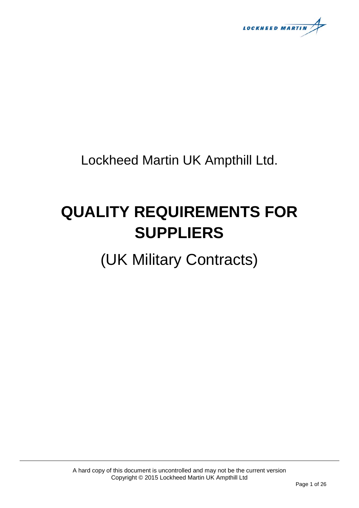**LOCKHEED MARTIN** 

Lockheed Martin UK Ampthill Ltd.

# **QUALITY REQUIREMENTS FOR SUPPLIERS**

(UK Military Contracts)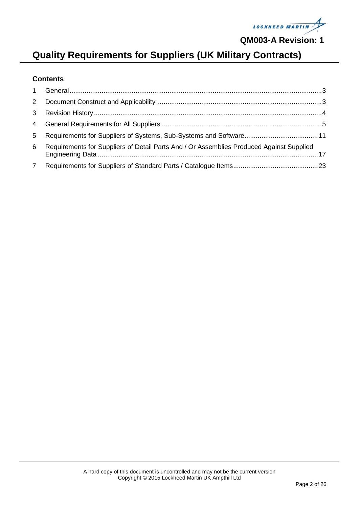

# **Quality Requirements for Suppliers (UK Military Contracts)**

#### **Contents**

| 6 Requirements for Suppliers of Detail Parts And / Or Assemblies Produced Against Supplied |  |
|--------------------------------------------------------------------------------------------|--|
|                                                                                            |  |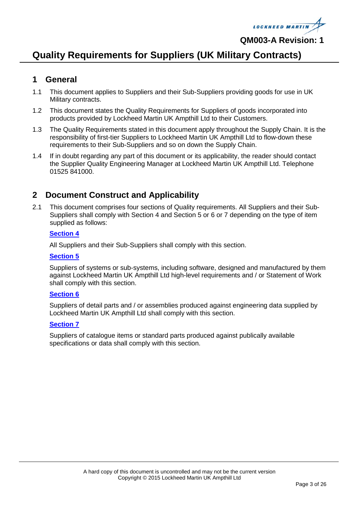

#### **Quality Requirements for Suppliers (UK Military Contracts)**

#### <span id="page-2-0"></span>**1 General**

- 1.1 This document applies to Suppliers and their Sub-Suppliers providing goods for use in UK Military contracts.
- 1.2 This document states the Quality Requirements for Suppliers of goods incorporated into products provided by Lockheed Martin UK Ampthill Ltd to their Customers.
- 1.3 The Quality Requirements stated in this document apply throughout the Supply Chain. It is the responsibility of first-tier Suppliers to Lockheed Martin UK Ampthill Ltd to flow-down these requirements to their Sub-Suppliers and so on down the Supply Chain.
- 1.4 If in doubt regarding any part of this document or its applicability, the reader should contact the Supplier Quality Engineering Manager at Lockheed Martin UK Ampthill Ltd. Telephone 01525 841000.

#### <span id="page-2-1"></span>**2 Document Construct and Applicability**

2.1 This document comprises four sections of Quality requirements. All Suppliers and their Sub-Suppliers shall comply with Section 4 and Section 5 or 6 or 7 depending on the type of item supplied as follows:

#### **[Section 4](#page-4-0)**

All Suppliers and their Sub-Suppliers shall comply with this section.

#### **[Section 5](#page-10-0)**

Suppliers of systems or sub-systems, including software, designed and manufactured by them against Lockheed Martin UK Ampthill Ltd high-level requirements and / or Statement of Work shall comply with this section.

#### **[Section 6](#page-16-0)**

Suppliers of detail parts and / or assemblies produced against engineering data supplied by Lockheed Martin UK Ampthill Ltd shall comply with this section.

#### **[Section 7](#page-22-0)**

Suppliers of catalogue items or standard parts produced against publically available specifications or data shall comply with this section.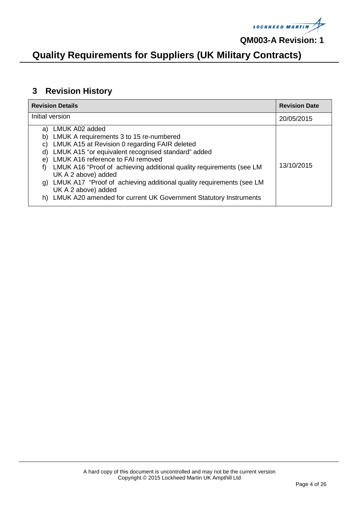

### **Quality Requirements for Suppliers (UK Military Contracts)**

#### <span id="page-3-0"></span>**3 Revision History**

| <b>Revision Details</b><br><b>Revision Date</b>                                                                                                                                                                                                                                                                                                                                                                                                                                                                        |            |  |  |  |
|------------------------------------------------------------------------------------------------------------------------------------------------------------------------------------------------------------------------------------------------------------------------------------------------------------------------------------------------------------------------------------------------------------------------------------------------------------------------------------------------------------------------|------------|--|--|--|
| Initial version                                                                                                                                                                                                                                                                                                                                                                                                                                                                                                        | 20/05/2015 |  |  |  |
| LMUK A02 added<br>a)<br>LMUK A requirements 3 to 15 re-numbered<br>b)<br>LMUK A15 at Revision 0 regarding FAIR deleted<br>C)<br>LMUK A15 "or equivalent recognised standard" added<br>d)<br>LMUK A16 reference to FAI removed<br>e)<br>LMUK A16 "Proof of achieving additional quality requirements (see LM<br>f<br>UK A 2 above) added<br>LMUK A17 "Proof of achieving additional quality requirements (see LM<br>g)<br>UK A 2 above) added<br>LMUK A20 amended for current UK Government Statutory Instruments<br>h) | 13/10/2015 |  |  |  |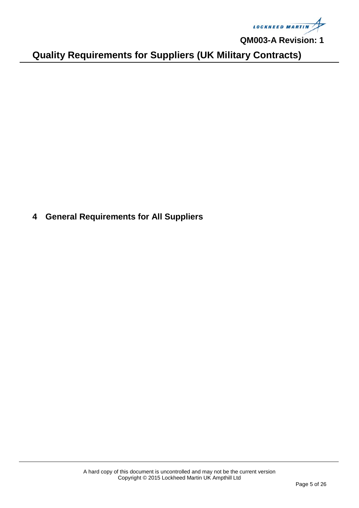

**Quality Requirements for Suppliers (UK Military Contracts)**

<span id="page-4-0"></span>**4 General Requirements for All Suppliers**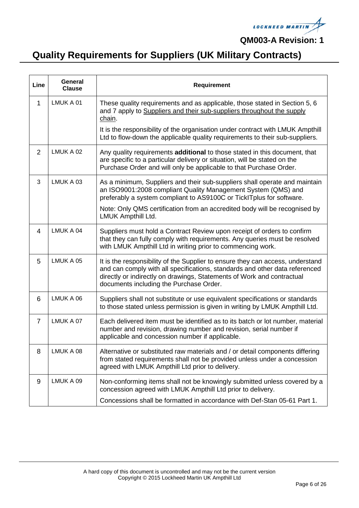

| Line           | General<br><b>Clause</b> | Requirement                                                                                                                                                                                                                                                                        |
|----------------|--------------------------|------------------------------------------------------------------------------------------------------------------------------------------------------------------------------------------------------------------------------------------------------------------------------------|
| 1              | LMUK A 01                | These quality requirements and as applicable, those stated in Section 5, 6<br>and 7 apply to Suppliers and their sub-suppliers throughout the supply<br>chain.                                                                                                                     |
|                |                          | It is the responsibility of the organisation under contract with LMUK Ampthill<br>Ltd to flow-down the applicable quality requirements to their sub-suppliers.                                                                                                                     |
| 2              | LMUK A 02                | Any quality requirements additional to those stated in this document, that<br>are specific to a particular delivery or situation, will be stated on the<br>Purchase Order and will only be applicable to that Purchase Order.                                                      |
| 3              | LMUK A 03                | As a minimum, Suppliers and their sub-suppliers shall operate and maintain<br>an ISO9001:2008 compliant Quality Management System (QMS) and<br>preferably a system compliant to AS9100C or TickITplus for software.                                                                |
|                |                          | Note: Only QMS certification from an accredited body will be recognised by<br>LMUK Ampthill Ltd.                                                                                                                                                                                   |
| $\overline{4}$ | LMUK A 04                | Suppliers must hold a Contract Review upon receipt of orders to confirm<br>that they can fully comply with requirements. Any queries must be resolved<br>with LMUK Ampthill Ltd in writing prior to commencing work.                                                               |
| 5              | LMUK A 05                | It is the responsibility of the Supplier to ensure they can access, understand<br>and can comply with all specifications, standards and other data referenced<br>directly or indirectly on drawings, Statements of Work and contractual<br>documents including the Purchase Order. |
| 6              | LMUK A 06                | Suppliers shall not substitute or use equivalent specifications or standards<br>to those stated unless permission is given in writing by LMUK Ampthill Ltd.                                                                                                                        |
| $\overline{7}$ | LMUK A 07                | Each delivered item must be identified as to its batch or lot number, material<br>number and revision, drawing number and revision, serial number if<br>applicable and concession number if applicable.                                                                            |
| 8              | LMUK A 08                | Alternative or substituted raw materials and / or detail components differing<br>from stated requirements shall not be provided unless under a concession<br>agreed with LMUK Ampthill Ltd prior to delivery.                                                                      |
| 9              | LMUK A 09                | Non-conforming items shall not be knowingly submitted unless covered by a<br>concession agreed with LMUK Ampthill Ltd prior to delivery.                                                                                                                                           |
|                |                          | Concessions shall be formatted in accordance with Def-Stan 05-61 Part 1.                                                                                                                                                                                                           |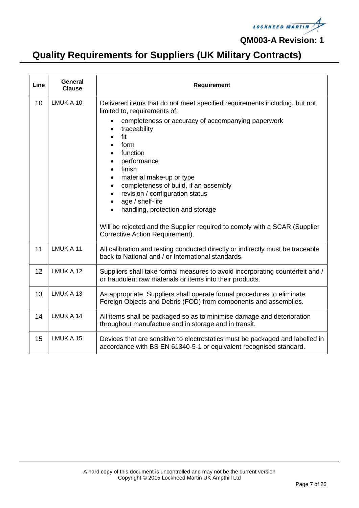

| Line | General<br><b>Clause</b> | Requirement                                                                                                                                                                                                                                                                                                                                                                                                                                                                                                           |
|------|--------------------------|-----------------------------------------------------------------------------------------------------------------------------------------------------------------------------------------------------------------------------------------------------------------------------------------------------------------------------------------------------------------------------------------------------------------------------------------------------------------------------------------------------------------------|
| 10   | LMUK A 10                | Delivered items that do not meet specified requirements including, but not<br>limited to, requirements of:<br>completeness or accuracy of accompanying paperwork<br>traceability<br>fit<br>form<br>function<br>performance<br>finish<br>material make-up or type<br>completeness of build, if an assembly<br>revision / configuration status<br>age / shelf-life<br>handling, protection and storage<br>Will be rejected and the Supplier required to comply with a SCAR (Supplier<br>Corrective Action Requirement). |
| 11   | LMUK A 11                | All calibration and testing conducted directly or indirectly must be traceable<br>back to National and / or International standards.                                                                                                                                                                                                                                                                                                                                                                                  |
| 12   | LMUK A 12                | Suppliers shall take formal measures to avoid incorporating counterfeit and /<br>or fraudulent raw materials or items into their products.                                                                                                                                                                                                                                                                                                                                                                            |
| 13   | LMUK A 13                | As appropriate, Suppliers shall operate formal procedures to eliminate<br>Foreign Objects and Debris (FOD) from components and assemblies.                                                                                                                                                                                                                                                                                                                                                                            |
| 14   | LMUK A 14                | All items shall be packaged so as to minimise damage and deterioration<br>throughout manufacture and in storage and in transit.                                                                                                                                                                                                                                                                                                                                                                                       |
| 15   | LMUK A 15                | Devices that are sensitive to electrostatics must be packaged and labelled in<br>accordance with BS EN 61340-5-1 or equivalent recognised standard.                                                                                                                                                                                                                                                                                                                                                                   |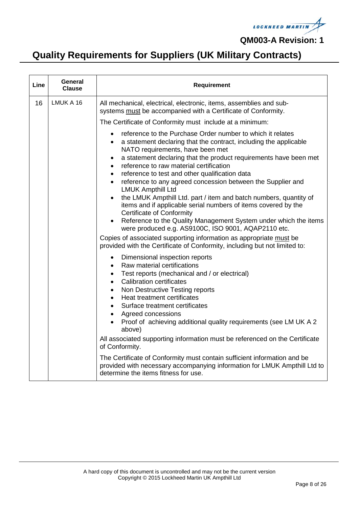

| Line | General<br><b>Clause</b> | <b>Requirement</b>                                                                                                                                                                                                                                                                                                                                                                                                                                                                                                                                                                                                                                                                                                                                                                                                                                                                                                                                                                                                                                                                                                                                                                                                                                                                                                                                                                                                                                                                                                                                                        |
|------|--------------------------|---------------------------------------------------------------------------------------------------------------------------------------------------------------------------------------------------------------------------------------------------------------------------------------------------------------------------------------------------------------------------------------------------------------------------------------------------------------------------------------------------------------------------------------------------------------------------------------------------------------------------------------------------------------------------------------------------------------------------------------------------------------------------------------------------------------------------------------------------------------------------------------------------------------------------------------------------------------------------------------------------------------------------------------------------------------------------------------------------------------------------------------------------------------------------------------------------------------------------------------------------------------------------------------------------------------------------------------------------------------------------------------------------------------------------------------------------------------------------------------------------------------------------------------------------------------------------|
| 16   | LMUK A 16                | All mechanical, electrical, electronic, items, assemblies and sub-<br>systems must be accompanied with a Certificate of Conformity.                                                                                                                                                                                                                                                                                                                                                                                                                                                                                                                                                                                                                                                                                                                                                                                                                                                                                                                                                                                                                                                                                                                                                                                                                                                                                                                                                                                                                                       |
|      |                          | The Certificate of Conformity must include at a minimum:                                                                                                                                                                                                                                                                                                                                                                                                                                                                                                                                                                                                                                                                                                                                                                                                                                                                                                                                                                                                                                                                                                                                                                                                                                                                                                                                                                                                                                                                                                                  |
|      |                          | reference to the Purchase Order number to which it relates<br>$\bullet$<br>a statement declaring that the contract, including the applicable<br>$\bullet$<br>NATO requirements, have been met<br>a statement declaring that the product requirements have been met<br>$\bullet$<br>reference to raw material certification<br>$\bullet$<br>reference to test and other qualification data<br>$\bullet$<br>reference to any agreed concession between the Supplier and<br>$\bullet$<br><b>LMUK Ampthill Ltd</b><br>the LMUK Ampthill Ltd. part / item and batch numbers, quantity of<br>$\bullet$<br>items and if applicable serial numbers of items covered by the<br><b>Certificate of Conformity</b><br>Reference to the Quality Management System under which the items<br>were produced e.g. AS9100C, ISO 9001, AQAP2110 etc.<br>Copies of associated supporting information as appropriate must be<br>provided with the Certificate of Conformity, including but not limited to:<br>Dimensional inspection reports<br>$\bullet$<br>Raw material certifications<br>$\bullet$<br>Test reports (mechanical and / or electrical)<br>$\bullet$<br><b>Calibration certificates</b><br>$\bullet$<br>Non Destructive Testing reports<br>$\bullet$<br>Heat treatment certificates<br>$\bullet$<br>Surface treatment certificates<br>$\bullet$<br>Agreed concessions<br>$\bullet$<br>Proof of achieving additional quality requirements (see LM UK A 2<br>$\bullet$<br>above)<br>All associated supporting information must be referenced on the Certificate<br>of Conformity. |
|      |                          | The Certificate of Conformity must contain sufficient information and be<br>provided with necessary accompanying information for LMUK Ampthill Ltd to<br>determine the items fitness for use.                                                                                                                                                                                                                                                                                                                                                                                                                                                                                                                                                                                                                                                                                                                                                                                                                                                                                                                                                                                                                                                                                                                                                                                                                                                                                                                                                                             |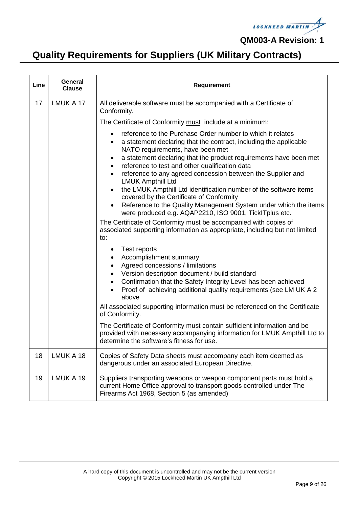

| Line | General<br><b>Clause</b> | <b>Requirement</b>                                                                                                                                                                                                                                                                                                                                                                                                                                                                                                                                                                                                                                                                                                                                                                                                                                                                                                                                                                                                                                                                                                                          |
|------|--------------------------|---------------------------------------------------------------------------------------------------------------------------------------------------------------------------------------------------------------------------------------------------------------------------------------------------------------------------------------------------------------------------------------------------------------------------------------------------------------------------------------------------------------------------------------------------------------------------------------------------------------------------------------------------------------------------------------------------------------------------------------------------------------------------------------------------------------------------------------------------------------------------------------------------------------------------------------------------------------------------------------------------------------------------------------------------------------------------------------------------------------------------------------------|
| 17   | LMUK A 17                | All deliverable software must be accompanied with a Certificate of<br>Conformity.                                                                                                                                                                                                                                                                                                                                                                                                                                                                                                                                                                                                                                                                                                                                                                                                                                                                                                                                                                                                                                                           |
|      |                          | The Certificate of Conformity must include at a minimum:                                                                                                                                                                                                                                                                                                                                                                                                                                                                                                                                                                                                                                                                                                                                                                                                                                                                                                                                                                                                                                                                                    |
|      |                          | reference to the Purchase Order number to which it relates<br>a statement declaring that the contract, including the applicable<br>NATO requirements, have been met<br>a statement declaring that the product requirements have been met<br>٠<br>reference to test and other qualification data<br>reference to any agreed concession between the Supplier and<br>$\bullet$<br><b>LMUK Ampthill Ltd</b><br>the LMUK Ampthill Ltd identification number of the software items<br>covered by the Certificate of Conformity<br>Reference to the Quality Management System under which the items<br>٠<br>were produced e.g. AQAP2210, ISO 9001, TickITplus etc.<br>The Certificate of Conformity must be accompanied with copies of<br>associated supporting information as appropriate, including but not limited<br>to:<br>Test reports<br>$\bullet$<br>Accomplishment summary<br>Agreed concessions / limitations<br>Version description document / build standard<br>Confirmation that the Safety Integrity Level has been achieved<br>$\bullet$<br>Proof of achieving additional quality requirements (see LM UK A 2<br>$\bullet$<br>above |
|      |                          | All associated supporting information must be referenced on the Certificate<br>of Conformity.                                                                                                                                                                                                                                                                                                                                                                                                                                                                                                                                                                                                                                                                                                                                                                                                                                                                                                                                                                                                                                               |
|      |                          | The Certificate of Conformity must contain sufficient information and be<br>provided with necessary accompanying information for LMUK Ampthill Ltd to<br>determine the software's fitness for use.                                                                                                                                                                                                                                                                                                                                                                                                                                                                                                                                                                                                                                                                                                                                                                                                                                                                                                                                          |
| 18   | LMUK A 18                | Copies of Safety Data sheets must accompany each item deemed as<br>dangerous under an associated European Directive.                                                                                                                                                                                                                                                                                                                                                                                                                                                                                                                                                                                                                                                                                                                                                                                                                                                                                                                                                                                                                        |
| 19   | LMUK A 19                | Suppliers transporting weapons or weapon component parts must hold a<br>current Home Office approval to transport goods controlled under The<br>Firearms Act 1968, Section 5 (as amended)                                                                                                                                                                                                                                                                                                                                                                                                                                                                                                                                                                                                                                                                                                                                                                                                                                                                                                                                                   |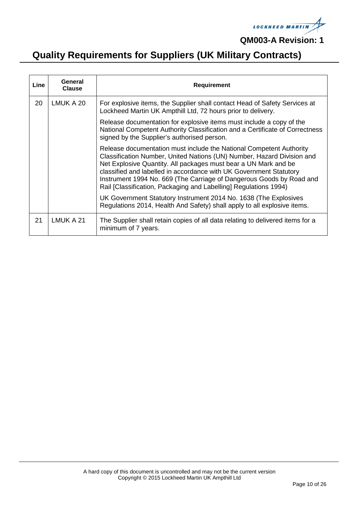

| Line | General<br><b>Clause</b> | <b>Requirement</b>                                                                                                                                                                                                                                                                                                                                                                                                                 |
|------|--------------------------|------------------------------------------------------------------------------------------------------------------------------------------------------------------------------------------------------------------------------------------------------------------------------------------------------------------------------------------------------------------------------------------------------------------------------------|
| 20   | LMUK A 20                | For explosive items, the Supplier shall contact Head of Safety Services at<br>Lockheed Martin UK Ampthill Ltd, 72 hours prior to delivery.                                                                                                                                                                                                                                                                                         |
|      |                          | Release documentation for explosive items must include a copy of the<br>National Competent Authority Classification and a Certificate of Correctness<br>signed by the Supplier's authorised person.                                                                                                                                                                                                                                |
|      |                          | Release documentation must include the National Competent Authority<br>Classification Number, United Nations (UN) Number, Hazard Division and<br>Net Explosive Quantity. All packages must bear a UN Mark and be<br>classified and labelled in accordance with UK Government Statutory<br>Instrument 1994 No. 669 (The Carriage of Dangerous Goods by Road and<br>Rail [Classification, Packaging and Labelling] Regulations 1994) |
|      |                          | UK Government Statutory Instrument 2014 No. 1638 (The Explosives<br>Regulations 2014, Health And Safety) shall apply to all explosive items.                                                                                                                                                                                                                                                                                       |
| 21   | LMUK A 21                | The Supplier shall retain copies of all data relating to delivered items for a<br>minimum of 7 years.                                                                                                                                                                                                                                                                                                                              |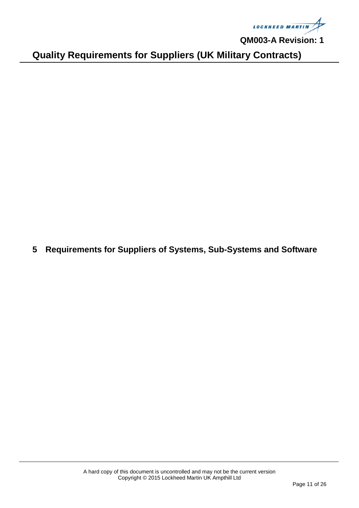

**Quality Requirements for Suppliers (UK Military Contracts)**

<span id="page-10-0"></span>**5 Requirements for Suppliers of Systems, Sub-Systems and Software**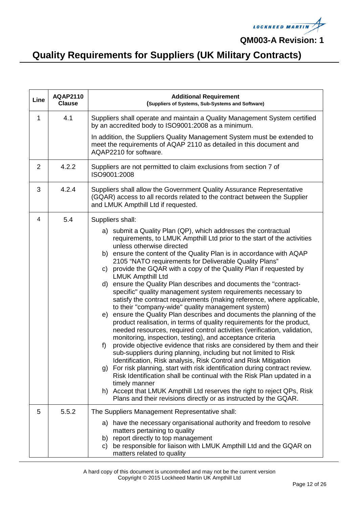

| Line | <b>AQAP2110</b><br><b>Clause</b> | <b>Additional Requirement</b><br>(Suppliers of Systems, Sub-Systems and Software)                                                                                                                                                                                                                                                                                                                                                                                                                                                                                                                                                                                                                                                                                                                                                                                                                                                                                                                                                                                                                                                                                                                                                                                                                                                                                                                                                                                                     |
|------|----------------------------------|---------------------------------------------------------------------------------------------------------------------------------------------------------------------------------------------------------------------------------------------------------------------------------------------------------------------------------------------------------------------------------------------------------------------------------------------------------------------------------------------------------------------------------------------------------------------------------------------------------------------------------------------------------------------------------------------------------------------------------------------------------------------------------------------------------------------------------------------------------------------------------------------------------------------------------------------------------------------------------------------------------------------------------------------------------------------------------------------------------------------------------------------------------------------------------------------------------------------------------------------------------------------------------------------------------------------------------------------------------------------------------------------------------------------------------------------------------------------------------------|
| 1    | 4.1                              | Suppliers shall operate and maintain a Quality Management System certified<br>by an accredited body to ISO9001:2008 as a minimum.                                                                                                                                                                                                                                                                                                                                                                                                                                                                                                                                                                                                                                                                                                                                                                                                                                                                                                                                                                                                                                                                                                                                                                                                                                                                                                                                                     |
|      |                                  | In addition, the Suppliers Quality Management System must be extended to<br>meet the requirements of AQAP 2110 as detailed in this document and<br>AQAP2210 for software.                                                                                                                                                                                                                                                                                                                                                                                                                                                                                                                                                                                                                                                                                                                                                                                                                                                                                                                                                                                                                                                                                                                                                                                                                                                                                                             |
| 2    | 4.2.2                            | Suppliers are not permitted to claim exclusions from section 7 of<br>ISO9001:2008                                                                                                                                                                                                                                                                                                                                                                                                                                                                                                                                                                                                                                                                                                                                                                                                                                                                                                                                                                                                                                                                                                                                                                                                                                                                                                                                                                                                     |
| 3    | 4.2.4                            | Suppliers shall allow the Government Quality Assurance Representative<br>(GQAR) access to all records related to the contract between the Supplier<br>and LMUK Ampthill Ltd if requested.                                                                                                                                                                                                                                                                                                                                                                                                                                                                                                                                                                                                                                                                                                                                                                                                                                                                                                                                                                                                                                                                                                                                                                                                                                                                                             |
| 4    | 5.4                              | Suppliers shall:<br>a) submit a Quality Plan (QP), which addresses the contractual<br>requirements, to LMUK Ampthill Ltd prior to the start of the activities<br>unless otherwise directed<br>b) ensure the content of the Quality Plan is in accordance with AQAP<br>2105 "NATO requirements for Deliverable Quality Plans"<br>c) provide the GQAR with a copy of the Quality Plan if requested by<br><b>LMUK Ampthill Ltd</b><br>ensure the Quality Plan describes and documents the "contract-<br>d)<br>specific" quality management system requirements necessary to<br>satisfy the contract requirements (making reference, where applicable,<br>to their "company-wide" quality management system)<br>ensure the Quality Plan describes and documents the planning of the<br>e)<br>product realisation, in terms of quality requirements for the product,<br>needed resources, required control activities (verification, validation,<br>monitoring, inspection, testing), and acceptance criteria<br>provide objective evidence that risks are considered by them and their<br>f)<br>sub-suppliers during planning, including but not limited to Risk<br>Identification, Risk analysis, Risk Control and Risk Mitigation<br>g) For risk planning, start with risk identification during contract review.<br>Risk Identification shall be continual with the Risk Plan updated in a<br>timely manner<br>h) Accept that LMUK Ampthill Ltd reserves the right to reject QPs, Risk |
|      |                                  | Plans and their revisions directly or as instructed by the GQAR.                                                                                                                                                                                                                                                                                                                                                                                                                                                                                                                                                                                                                                                                                                                                                                                                                                                                                                                                                                                                                                                                                                                                                                                                                                                                                                                                                                                                                      |
| 5    | 5.5.2                            | The Suppliers Management Representative shall:<br>a) have the necessary organisational authority and freedom to resolve<br>matters pertaining to quality<br>b) report directly to top management<br>be responsible for liaison with LMUK Ampthill Ltd and the GQAR on<br>C)<br>matters related to quality                                                                                                                                                                                                                                                                                                                                                                                                                                                                                                                                                                                                                                                                                                                                                                                                                                                                                                                                                                                                                                                                                                                                                                             |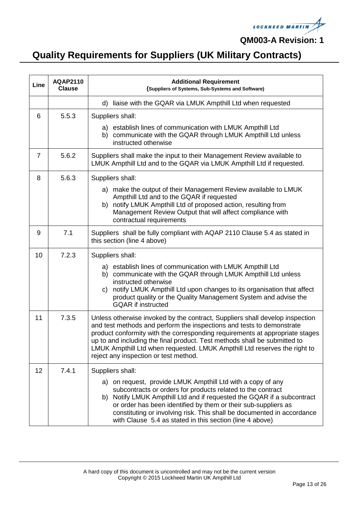

| Line           | <b>AQAP2110</b><br><b>Clause</b> | <b>Additional Requirement</b><br>(Suppliers of Systems, Sub-Systems and Software)                                                                                                                                                                                                                                                                                                                                                        |
|----------------|----------------------------------|------------------------------------------------------------------------------------------------------------------------------------------------------------------------------------------------------------------------------------------------------------------------------------------------------------------------------------------------------------------------------------------------------------------------------------------|
|                |                                  | d) liaise with the GQAR via LMUK Ampthill Ltd when requested                                                                                                                                                                                                                                                                                                                                                                             |
| 6              | 5.5.3                            | Suppliers shall:                                                                                                                                                                                                                                                                                                                                                                                                                         |
|                |                                  | a) establish lines of communication with LMUK Ampthill Ltd<br>b) communicate with the GQAR through LMUK Ampthill Ltd unless<br>instructed otherwise                                                                                                                                                                                                                                                                                      |
| $\overline{7}$ | 5.6.2                            | Suppliers shall make the input to their Management Review available to<br>LMUK Ampthill Ltd and to the GQAR via LMUK Ampthill Ltd if requested.                                                                                                                                                                                                                                                                                          |
| 8              | 5.6.3                            | Suppliers shall:                                                                                                                                                                                                                                                                                                                                                                                                                         |
|                |                                  | a) make the output of their Management Review available to LMUK<br>Ampthill Ltd and to the GQAR if requested<br>b) notify LMUK Ampthill Ltd of proposed action, resulting from<br>Management Review Output that will affect compliance with<br>contractual requirements                                                                                                                                                                  |
| 9              | 7.1                              | Suppliers shall be fully compliant with AQAP 2110 Clause 5.4 as stated in<br>this section (line 4 above)                                                                                                                                                                                                                                                                                                                                 |
| 10             | 7.2.3                            | Suppliers shall:                                                                                                                                                                                                                                                                                                                                                                                                                         |
|                |                                  | a) establish lines of communication with LMUK Ampthill Ltd<br>b) communicate with the GQAR through LMUK Ampthill Ltd unless<br>instructed otherwise<br>c) notify LMUK Ampthill Ltd upon changes to its organisation that affect<br>product quality or the Quality Management System and advise the<br><b>GQAR</b> if instructed                                                                                                          |
| 11             | 7.3.5                            | Unless otherwise invoked by the contract, Suppliers shall develop inspection<br>and test methods and perform the inspections and tests to demonstrate<br>product conformity with the corresponding requirements at appropriate stages<br>up to and including the final product. Test methods shall be submitted to<br>LMUK Ampthill Ltd when requested. LMUK Ampthill Ltd reserves the right to<br>reject any inspection or test method. |
| 12             | 7.4.1                            | Suppliers shall:                                                                                                                                                                                                                                                                                                                                                                                                                         |
|                |                                  | a) on request, provide LMUK Ampthill Ltd with a copy of any<br>subcontracts or orders for products related to the contract<br>b) Notify LMUK Ampthill Ltd and if requested the GQAR if a subcontract<br>or order has been identified by them or their sub-suppliers as<br>constituting or involving risk. This shall be documented in accordance<br>with Clause 5.4 as stated in this section (line 4 above)                             |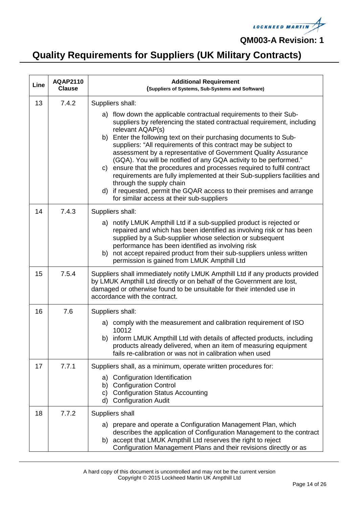

| Line | <b>AQAP2110</b><br><b>Clause</b> | <b>Additional Requirement</b><br>(Suppliers of Systems, Sub-Systems and Software)                                                                                                                                                                                                                                                                                                                                                                                                                                                                                                                                                                                                                                                                        |
|------|----------------------------------|----------------------------------------------------------------------------------------------------------------------------------------------------------------------------------------------------------------------------------------------------------------------------------------------------------------------------------------------------------------------------------------------------------------------------------------------------------------------------------------------------------------------------------------------------------------------------------------------------------------------------------------------------------------------------------------------------------------------------------------------------------|
| 13   | 7.4.2                            | Suppliers shall:                                                                                                                                                                                                                                                                                                                                                                                                                                                                                                                                                                                                                                                                                                                                         |
|      |                                  | a) flow down the applicable contractual requirements to their Sub-<br>suppliers by referencing the stated contractual requirement, including<br>relevant AQAP(s)<br>b) Enter the following text on their purchasing documents to Sub-<br>suppliers: "All requirements of this contract may be subject to<br>assessment by a representative of Government Quality Assurance<br>(GQA). You will be notified of any GQA activity to be performed."<br>c) ensure that the procedures and processes required to fulfil contract<br>requirements are fully implemented at their Sub-suppliers facilities and<br>through the supply chain<br>d) if requested, permit the GQAR access to their premises and arrange<br>for similar access at their sub-suppliers |
| 14   | 7.4.3                            | Suppliers shall:                                                                                                                                                                                                                                                                                                                                                                                                                                                                                                                                                                                                                                                                                                                                         |
|      |                                  | a) notify LMUK Ampthill Ltd if a sub-supplied product is rejected or<br>repaired and which has been identified as involving risk or has been<br>supplied by a Sub-supplier whose selection or subsequent<br>performance has been identified as involving risk<br>b) not accept repaired product from their sub-suppliers unless written<br>permission is gained from LMUK Ampthill Ltd                                                                                                                                                                                                                                                                                                                                                                   |
| 15   | 7.5.4                            | Suppliers shall immediately notify LMUK Ampthill Ltd if any products provided<br>by LMUK Ampthill Ltd directly or on behalf of the Government are lost,<br>damaged or otherwise found to be unsuitable for their intended use in<br>accordance with the contract.                                                                                                                                                                                                                                                                                                                                                                                                                                                                                        |
| 16   | 7.6                              | Suppliers shall:                                                                                                                                                                                                                                                                                                                                                                                                                                                                                                                                                                                                                                                                                                                                         |
|      |                                  | a) comply with the measurement and calibration requirement of ISO<br>10012<br>b) inform LMUK Ampthill Ltd with details of affected products, including<br>products already delivered, when an item of measuring equipment<br>fails re-calibration or was not in calibration when used                                                                                                                                                                                                                                                                                                                                                                                                                                                                    |
| 17   | 7.7.1                            | Suppliers shall, as a minimum, operate written procedures for:                                                                                                                                                                                                                                                                                                                                                                                                                                                                                                                                                                                                                                                                                           |
|      |                                  | Configuration Identification<br>a)<br><b>Configuration Control</b><br>b)<br><b>Configuration Status Accounting</b><br>C)<br><b>Configuration Audit</b><br>d)                                                                                                                                                                                                                                                                                                                                                                                                                                                                                                                                                                                             |
| 18   | 7.7.2                            | Suppliers shall                                                                                                                                                                                                                                                                                                                                                                                                                                                                                                                                                                                                                                                                                                                                          |
|      |                                  | a) prepare and operate a Configuration Management Plan, which<br>describes the application of Configuration Management to the contract<br>accept that LMUK Ampthill Ltd reserves the right to reject<br>b)<br>Configuration Management Plans and their revisions directly or as                                                                                                                                                                                                                                                                                                                                                                                                                                                                          |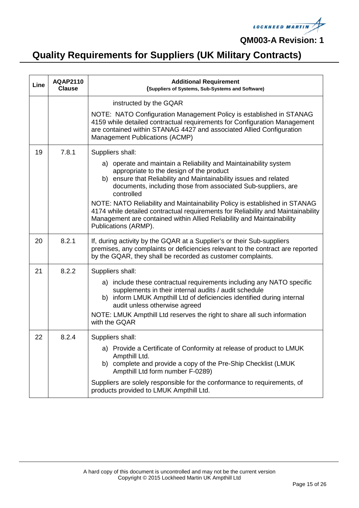

| Line | <b>AQAP2110</b><br><b>Clause</b> | <b>Additional Requirement</b><br>(Suppliers of Systems, Sub-Systems and Software)                                                                                                                                                                                                                                                                                                                                                                                                                                                                        |
|------|----------------------------------|----------------------------------------------------------------------------------------------------------------------------------------------------------------------------------------------------------------------------------------------------------------------------------------------------------------------------------------------------------------------------------------------------------------------------------------------------------------------------------------------------------------------------------------------------------|
|      |                                  | instructed by the GQAR                                                                                                                                                                                                                                                                                                                                                                                                                                                                                                                                   |
|      |                                  | NOTE: NATO Configuration Management Policy is established in STANAG<br>4159 while detailed contractual requirements for Configuration Management<br>are contained within STANAG 4427 and associated Allied Configuration<br>Management Publications (ACMP)                                                                                                                                                                                                                                                                                               |
| 19   | 7.8.1                            | Suppliers shall:<br>a) operate and maintain a Reliability and Maintainability system<br>appropriate to the design of the product<br>b) ensure that Reliability and Maintainability issues and related<br>documents, including those from associated Sub-suppliers, are<br>controlled<br>NOTE: NATO Reliability and Maintainability Policy is established in STANAG<br>4174 while detailed contractual requirements for Reliability and Maintainability<br>Management are contained within Allied Reliability and Maintainability<br>Publications (ARMP). |
| 20   | 8.2.1                            | If, during activity by the GQAR at a Supplier's or their Sub-suppliers<br>premises, any complaints or deficiencies relevant to the contract are reported<br>by the GQAR, they shall be recorded as customer complaints.                                                                                                                                                                                                                                                                                                                                  |
| 21   | 8.2.2                            | Suppliers shall:<br>a) include these contractual requirements including any NATO specific<br>supplements in their internal audits / audit schedule<br>b) inform LMUK Ampthill Ltd of deficiencies identified during internal<br>audit unless otherwise agreed<br>NOTE: LMUK Ampthill Ltd reserves the right to share all such information<br>with the GQAR                                                                                                                                                                                               |
| 22   | 8.2.4                            | Suppliers shall:<br>a) Provide a Certificate of Conformity at release of product to LMUK<br>Ampthill Ltd.<br>b) complete and provide a copy of the Pre-Ship Checklist (LMUK<br>Ampthill Ltd form number F-0289)<br>Suppliers are solely responsible for the conformance to requirements, of<br>products provided to LMUK Ampthill Ltd.                                                                                                                                                                                                                   |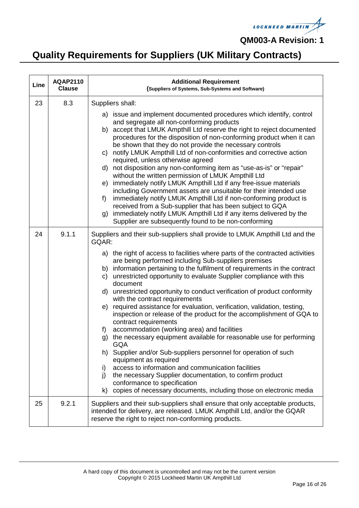

| Line | <b>AQAP2110</b><br><b>Clause</b> | <b>Additional Requirement</b><br>(Suppliers of Systems, Sub-Systems and Software)                                                                                                                                                                                                                                                                                                                                                                                                                                                                                                                                                                                                                                                                                                                                                                                                                                                                                                                                                                                                                                                                                                                                                               |
|------|----------------------------------|-------------------------------------------------------------------------------------------------------------------------------------------------------------------------------------------------------------------------------------------------------------------------------------------------------------------------------------------------------------------------------------------------------------------------------------------------------------------------------------------------------------------------------------------------------------------------------------------------------------------------------------------------------------------------------------------------------------------------------------------------------------------------------------------------------------------------------------------------------------------------------------------------------------------------------------------------------------------------------------------------------------------------------------------------------------------------------------------------------------------------------------------------------------------------------------------------------------------------------------------------|
| 23   | 8.3                              | Suppliers shall:<br>a) issue and implement documented procedures which identify, control<br>and segregate all non-conforming products<br>accept that LMUK Ampthill Ltd reserve the right to reject documented<br>b)<br>procedures for the disposition of non-conforming product when it can<br>be shown that they do not provide the necessary controls<br>c) notify LMUK Ampthill Ltd of non-conformities and corrective action<br>required, unless otherwise agreed<br>d) not disposition any non-conforming item as "use-as-is" or "repair"<br>without the written permission of LMUK Ampthill Ltd<br>immediately notify LMUK Ampthill Ltd if any free-issue materials<br>e)<br>including Government assets are unsuitable for their intended use<br>immediately notify LMUK Ampthill Ltd if non-conforming product is<br>f<br>received from a Sub-supplier that has been subject to GQA<br>immediately notify LMUK Ampthill Ltd if any items delivered by the<br>g)                                                                                                                                                                                                                                                                         |
| 24   | 9.1.1                            | Supplier are subsequently found to be non-conforming<br>Suppliers and their sub-suppliers shall provide to LMUK Ampthill Ltd and the<br>GQAR:<br>a) the right of access to facilities where parts of the contracted activities<br>are being performed including Sub-suppliers premises<br>b) information pertaining to the fulfilment of requirements in the contract<br>c) unrestricted opportunity to evaluate Supplier compliance with this<br>document<br>d) unrestricted opportunity to conduct verification of product conformity<br>with the contract requirements<br>required assistance for evaluation, verification, validation, testing,<br>e)<br>inspection or release of the product for the accomplishment of GQA to<br>contract requirements<br>accommodation (working area) and facilities<br>f)<br>g) the necessary equipment available for reasonable use for performing<br><b>GQA</b><br>h) Supplier and/or Sub-suppliers personnel for operation of such<br>equipment as required<br>access to information and communication facilities<br>i)<br>the necessary Supplier documentation, to confirm product<br>j)<br>conformance to specification<br>copies of necessary documents, including those on electronic media<br>k) |
| 25   | 9.2.1                            | Suppliers and their sub-suppliers shall ensure that only acceptable products,<br>intended for delivery, are released. LMUK Ampthill Ltd, and/or the GQAR<br>reserve the right to reject non-conforming products.                                                                                                                                                                                                                                                                                                                                                                                                                                                                                                                                                                                                                                                                                                                                                                                                                                                                                                                                                                                                                                |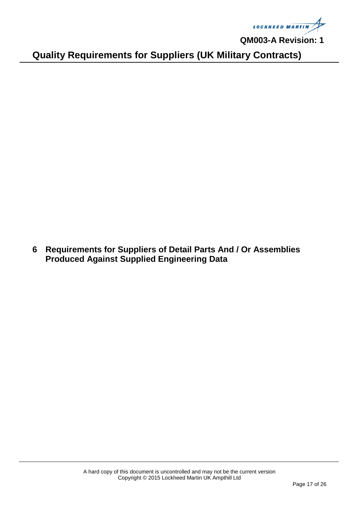**LOCKHEED MARTIN** 

**Quality Requirements for Suppliers (UK Military Contracts)**

<span id="page-16-0"></span>**6 Requirements for Suppliers of Detail Parts And / Or Assemblies Produced Against Supplied Engineering Data**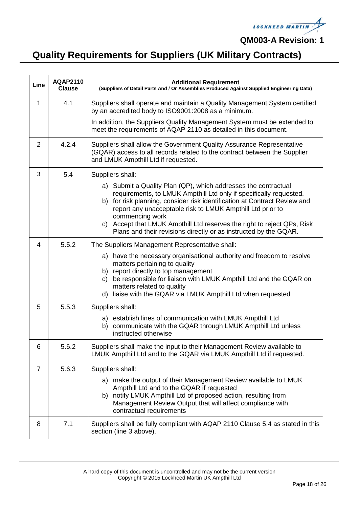

| Line        | <b>AQAP2110</b><br><b>Clause</b> | <b>Additional Requirement</b><br>(Suppliers of Detail Parts And / Or Assemblies Produced Against Supplied Engineering Data)                                                                                                                                                                                                                                                   |
|-------------|----------------------------------|-------------------------------------------------------------------------------------------------------------------------------------------------------------------------------------------------------------------------------------------------------------------------------------------------------------------------------------------------------------------------------|
| $\mathbf 1$ | 4.1                              | Suppliers shall operate and maintain a Quality Management System certified<br>by an accredited body to ISO9001:2008 as a minimum.                                                                                                                                                                                                                                             |
|             |                                  | In addition, the Suppliers Quality Management System must be extended to<br>meet the requirements of AQAP 2110 as detailed in this document.                                                                                                                                                                                                                                  |
| 2           | 4.2.4                            | Suppliers shall allow the Government Quality Assurance Representative<br>(GQAR) access to all records related to the contract between the Supplier<br>and LMUK Ampthill Ltd if requested.                                                                                                                                                                                     |
| 3           | 5.4                              | Suppliers shall:                                                                                                                                                                                                                                                                                                                                                              |
|             |                                  | a) Submit a Quality Plan (QP), which addresses the contractual<br>requirements, to LMUK Ampthill Ltd only if specifically requested.<br>b) for risk planning, consider risk identification at Contract Review and<br>report any unacceptable risk to LMUK Ampthill Ltd prior to<br>commencing work<br>c) Accept that LMUK Ampthill Ltd reserves the right to reject QPs, Risk |
|             |                                  | Plans and their revisions directly or as instructed by the GQAR.                                                                                                                                                                                                                                                                                                              |
| 4           | 5.5.2                            | The Suppliers Management Representative shall:                                                                                                                                                                                                                                                                                                                                |
|             |                                  | a) have the necessary organisational authority and freedom to resolve<br>matters pertaining to quality<br>b) report directly to top management<br>be responsible for liaison with LMUK Ampthill Ltd and the GQAR on<br>C)<br>matters related to quality<br>liaise with the GQAR via LMUK Ampthill Ltd when requested<br>d)                                                    |
| 5           | 5.5.3                            | Suppliers shall:                                                                                                                                                                                                                                                                                                                                                              |
|             |                                  | a) establish lines of communication with LMUK Ampthill Ltd<br>b) communicate with the GQAR through LMUK Ampthill Ltd unless<br>instructed otherwise                                                                                                                                                                                                                           |
| 6           | 5.6.2                            | Suppliers shall make the input to their Management Review available to<br>LMUK Ampthill Ltd and to the GQAR via LMUK Ampthill Ltd if requested.                                                                                                                                                                                                                               |
| 7           | 5.6.3                            | Suppliers shall:                                                                                                                                                                                                                                                                                                                                                              |
|             |                                  | a) make the output of their Management Review available to LMUK<br>Ampthill Ltd and to the GQAR if requested<br>b) notify LMUK Ampthill Ltd of proposed action, resulting from<br>Management Review Output that will affect compliance with<br>contractual requirements                                                                                                       |
| 8           | 7.1                              | Suppliers shall be fully compliant with AQAP 2110 Clause 5.4 as stated in this<br>section (line 3 above).                                                                                                                                                                                                                                                                     |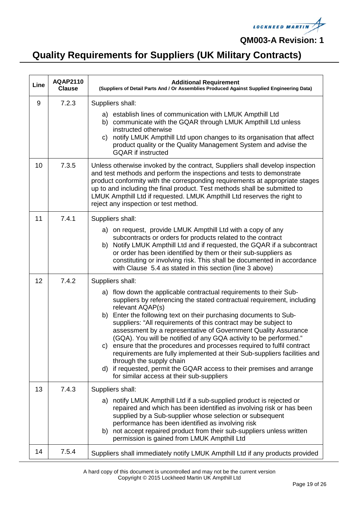

# **Quality Requirements for Suppliers (UK Military Contracts)**

| Line | <b>AQAP2110</b><br><b>Clause</b> | <b>Additional Requirement</b><br>(Suppliers of Detail Parts And / Or Assemblies Produced Against Supplied Engineering Data)                                                                                                                                                                                                                                                                                                                                                                                                                                                                                                                                                                                                                                                  |
|------|----------------------------------|------------------------------------------------------------------------------------------------------------------------------------------------------------------------------------------------------------------------------------------------------------------------------------------------------------------------------------------------------------------------------------------------------------------------------------------------------------------------------------------------------------------------------------------------------------------------------------------------------------------------------------------------------------------------------------------------------------------------------------------------------------------------------|
| 9    | 7.2.3                            | Suppliers shall:<br>a) establish lines of communication with LMUK Ampthill Ltd<br>b) communicate with the GQAR through LMUK Ampthill Ltd unless<br>instructed otherwise<br>notify LMUK Ampthill Ltd upon changes to its organisation that affect<br>C)<br>product quality or the Quality Management System and advise the<br><b>GQAR</b> if instructed                                                                                                                                                                                                                                                                                                                                                                                                                       |
| 10   | 7.3.5                            | Unless otherwise invoked by the contract, Suppliers shall develop inspection<br>and test methods and perform the inspections and tests to demonstrate<br>product conformity with the corresponding requirements at appropriate stages<br>up to and including the final product. Test methods shall be submitted to<br>LMUK Ampthill Ltd if requested. LMUK Ampthill Ltd reserves the right to<br>reject any inspection or test method.                                                                                                                                                                                                                                                                                                                                       |
| 11   | 7.4.1                            | Suppliers shall:<br>a) on request, provide LMUK Ampthill Ltd with a copy of any<br>subcontracts or orders for products related to the contract<br>Notify LMUK Ampthill Ltd and if requested, the GQAR if a subcontract<br>b)<br>or order has been identified by them or their sub-suppliers as<br>constituting or involving risk. This shall be documented in accordance<br>with Clause 5.4 as stated in this section (line 3 above)                                                                                                                                                                                                                                                                                                                                         |
| 12   | 7.4.2                            | Suppliers shall:<br>a) flow down the applicable contractual requirements to their Sub-<br>suppliers by referencing the stated contractual requirement, including<br>relevant AQAP(s)<br>b) Enter the following text on their purchasing documents to Sub-<br>suppliers: "All requirements of this contract may be subject to<br>assessment by a representative of Government Quality Assurance<br>(GQA). You will be notified of any GQA activity to be performed."<br>c) ensure that the procedures and processes required to fulfil contract<br>requirements are fully implemented at their Sub-suppliers facilities and<br>through the supply chain<br>d) if requested, permit the GQAR access to their premises and arrange<br>for similar access at their sub-suppliers |
| 13   | 7.4.3                            | Suppliers shall:<br>a) notify LMUK Ampthill Ltd if a sub-supplied product is rejected or<br>repaired and which has been identified as involving risk or has been<br>supplied by a Sub-supplier whose selection or subsequent<br>performance has been identified as involving risk<br>b) not accept repaired product from their sub-suppliers unless written<br>permission is gained from LMUK Ampthill Ltd                                                                                                                                                                                                                                                                                                                                                                   |
| 14   | 7.5.4                            | Suppliers shall immediately notify LMUK Ampthill Ltd if any products provided                                                                                                                                                                                                                                                                                                                                                                                                                                                                                                                                                                                                                                                                                                |

A hard copy of this document is uncontrolled and may not be the current version Copyright © 2015 Lockheed Martin UK Ampthill Ltd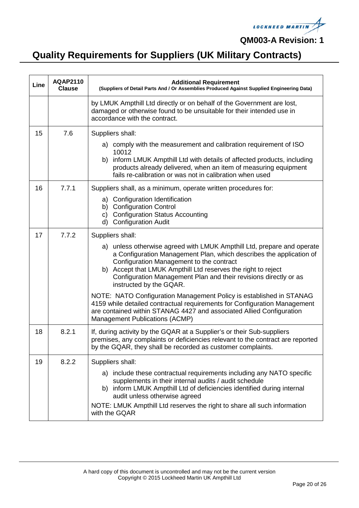

| Line | <b>AQAP2110</b><br><b>Clause</b> | <b>Additional Requirement</b><br>(Suppliers of Detail Parts And / Or Assemblies Produced Against Supplied Engineering Data)                                                                                                                                                                                                                               |
|------|----------------------------------|-----------------------------------------------------------------------------------------------------------------------------------------------------------------------------------------------------------------------------------------------------------------------------------------------------------------------------------------------------------|
|      |                                  | by LMUK Ampthill Ltd directly or on behalf of the Government are lost,<br>damaged or otherwise found to be unsuitable for their intended use in<br>accordance with the contract.                                                                                                                                                                          |
| 15   | 7.6                              | Suppliers shall:                                                                                                                                                                                                                                                                                                                                          |
|      |                                  | a) comply with the measurement and calibration requirement of ISO<br>10012                                                                                                                                                                                                                                                                                |
|      |                                  | b) inform LMUK Ampthill Ltd with details of affected products, including<br>products already delivered, when an item of measuring equipment<br>fails re-calibration or was not in calibration when used                                                                                                                                                   |
| 16   | 7.7.1                            | Suppliers shall, as a minimum, operate written procedures for:                                                                                                                                                                                                                                                                                            |
|      |                                  | a) Configuration Identification<br>b) Configuration Control<br>c) Configuration Status Accounting<br>d) Configuration Audit                                                                                                                                                                                                                               |
| 17   | 7.7.2                            | Suppliers shall:                                                                                                                                                                                                                                                                                                                                          |
|      |                                  | a) unless otherwise agreed with LMUK Ampthill Ltd, prepare and operate<br>a Configuration Management Plan, which describes the application of<br>Configuration Management to the contract<br>b) Accept that LMUK Ampthill Ltd reserves the right to reject<br>Configuration Management Plan and their revisions directly or as<br>instructed by the GQAR. |
|      |                                  | NOTE: NATO Configuration Management Policy is established in STANAG<br>4159 while detailed contractual requirements for Configuration Management<br>are contained within STANAG 4427 and associated Allied Configuration<br>Management Publications (ACMP)                                                                                                |
| 18   | 8.2.1                            | If, during activity by the GQAR at a Supplier's or their Sub-suppliers<br>premises, any complaints or deficiencies relevant to the contract are reported<br>by the GQAR, they shall be recorded as customer complaints.                                                                                                                                   |
| 19   | 8.2.2                            | Suppliers shall:                                                                                                                                                                                                                                                                                                                                          |
|      |                                  | a) include these contractual requirements including any NATO specific<br>supplements in their internal audits / audit schedule<br>b) inform LMUK Ampthill Ltd of deficiencies identified during internal<br>audit unless otherwise agreed<br>NOTE: LMUK Ampthill Ltd reserves the right to share all such information                                     |
|      |                                  | with the GQAR                                                                                                                                                                                                                                                                                                                                             |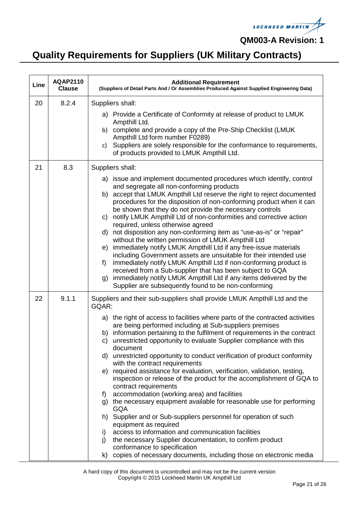

| Line | <b>AQAP2110</b><br><b>Clause</b> | <b>Additional Requirement</b><br>(Suppliers of Detail Parts And / Or Assemblies Produced Against Supplied Engineering Data)                                                                                                                                                                                                                                                                                                                                                                                                                                                                                                                                                                                                                                                                                                                                                                                                                                                                                                                                                                                                                                                                   |
|------|----------------------------------|-----------------------------------------------------------------------------------------------------------------------------------------------------------------------------------------------------------------------------------------------------------------------------------------------------------------------------------------------------------------------------------------------------------------------------------------------------------------------------------------------------------------------------------------------------------------------------------------------------------------------------------------------------------------------------------------------------------------------------------------------------------------------------------------------------------------------------------------------------------------------------------------------------------------------------------------------------------------------------------------------------------------------------------------------------------------------------------------------------------------------------------------------------------------------------------------------|
| 20   | 8.2.4                            | Suppliers shall:<br>a) Provide a Certificate of Conformity at release of product to LMUK<br>Ampthill Ltd.<br>complete and provide a copy of the Pre-Ship Checklist (LMUK<br>b)<br>Ampthill Ltd form number F0289)<br>Suppliers are solely responsible for the conformance to requirements,<br>c)<br>of products provided to LMUK Ampthill Ltd.                                                                                                                                                                                                                                                                                                                                                                                                                                                                                                                                                                                                                                                                                                                                                                                                                                                |
| 21   | 8.3                              | Suppliers shall:<br>a) issue and implement documented procedures which identify, control<br>and segregate all non-conforming products<br>accept that LMUK Ampthill Ltd reserve the right to reject documented<br>b)<br>procedures for the disposition of non-conforming product when it can<br>be shown that they do not provide the necessary controls<br>notify LMUK Ampthill Ltd of non-conformities and corrective action<br>C)<br>required, unless otherwise agreed<br>d) not disposition any non-conforming item as "use-as-is" or "repair"<br>without the written permission of LMUK Ampthill Ltd<br>immediately notify LMUK Ampthill Ltd if any free-issue materials<br>e)<br>including Government assets are unsuitable for their intended use<br>immediately notify LMUK Ampthill Ltd if non-conforming product is<br>f)<br>received from a Sub-supplier that has been subject to GQA<br>immediately notify LMUK Ampthill Ltd if any items delivered by the<br>g)<br>Supplier are subsequently found to be non-conforming                                                                                                                                                           |
| 22   | 9.1.1                            | Suppliers and their sub-suppliers shall provide LMUK Ampthill Ltd and the<br>GQAR:<br>a) the right of access to facilities where parts of the contracted activities<br>are being performed including at Sub-suppliers premises<br>b) information pertaining to the fulfilment of requirements in the contract<br>unrestricted opportunity to evaluate Supplier compliance with this<br>C)<br>document<br>unrestricted opportunity to conduct verification of product conformity<br>d)<br>with the contract requirements<br>required assistance for evaluation, verification, validation, testing,<br>e)<br>inspection or release of the product for the accomplishment of GQA to<br>contract requirements<br>accommodation (working area) and facilities<br>f)<br>g) the necessary equipment available for reasonable use for performing<br><b>GQA</b><br>h) Supplier and or Sub-suppliers personnel for operation of such<br>equipment as required<br>access to information and communication facilities<br>i)<br>j)<br>the necessary Supplier documentation, to confirm product<br>conformance to specification<br>copies of necessary documents, including those on electronic media<br>k) |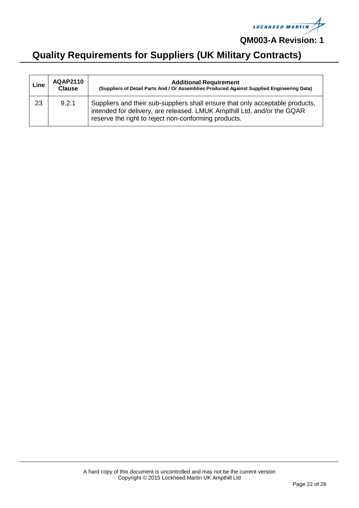

| Line | <b>AQAP2110</b><br><b>Clause</b> | <b>Additional Requirement</b><br>(Suppliers of Detail Parts And / Or Assemblies Produced Against Supplied Engineering Data)                                                                                      |
|------|----------------------------------|------------------------------------------------------------------------------------------------------------------------------------------------------------------------------------------------------------------|
| 23   | 9.2.1                            | Suppliers and their sub-suppliers shall ensure that only acceptable products,<br>intended for delivery, are released. LMUK Ampthill Ltd, and/or the GQAR<br>reserve the right to reject non-conforming products. |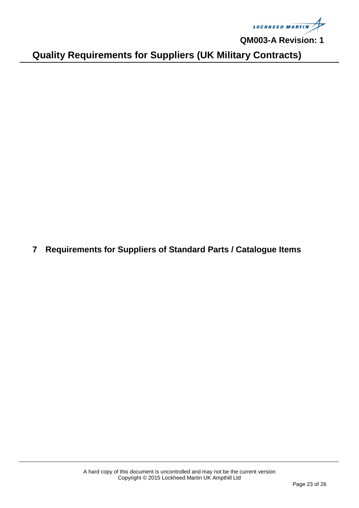

**Quality Requirements for Suppliers (UK Military Contracts)**

<span id="page-22-0"></span>**7 Requirements for Suppliers of Standard Parts / Catalogue Items**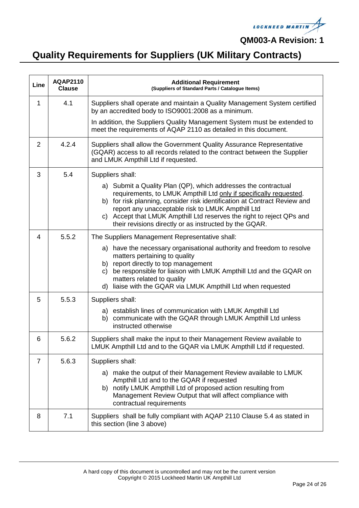

| Line | <b>AQAP2110</b><br><b>Clause</b> | <b>Additional Requirement</b><br>(Suppliers of Standard Parts / Catalogue Items)                                                                                                                                                                                                                                                                                                                                              |
|------|----------------------------------|-------------------------------------------------------------------------------------------------------------------------------------------------------------------------------------------------------------------------------------------------------------------------------------------------------------------------------------------------------------------------------------------------------------------------------|
| 1    | 4.1                              | Suppliers shall operate and maintain a Quality Management System certified<br>by an accredited body to ISO9001:2008 as a minimum.                                                                                                                                                                                                                                                                                             |
|      |                                  | In addition, the Suppliers Quality Management System must be extended to<br>meet the requirements of AQAP 2110 as detailed in this document.                                                                                                                                                                                                                                                                                  |
| 2    | 4.2.4                            | Suppliers shall allow the Government Quality Assurance Representative<br>(GQAR) access to all records related to the contract between the Supplier<br>and LMUK Ampthill Ltd if requested.                                                                                                                                                                                                                                     |
| 3    | 5.4                              | Suppliers shall:<br>a) Submit a Quality Plan (QP), which addresses the contractual<br>requirements, to LMUK Ampthill Ltd only if specifically requested.<br>b) for risk planning, consider risk identification at Contract Review and<br>report any unacceptable risk to LMUK Ampthill Ltd<br>c) Accept that LMUK Ampthill Ltd reserves the right to reject QPs and<br>their revisions directly or as instructed by the GQAR. |
| 4    | 5.5.2                            | The Suppliers Management Representative shall:<br>a) have the necessary organisational authority and freedom to resolve<br>matters pertaining to quality<br>b) report directly to top management<br>be responsible for liaison with LMUK Ampthill Ltd and the GQAR on<br>C)<br>matters related to quality<br>d) liaise with the GQAR via LMUK Ampthill Ltd when requested                                                     |
| 5    | 5.5.3                            | Suppliers shall:<br>a) establish lines of communication with LMUK Ampthill Ltd<br>b) communicate with the GQAR through LMUK Ampthill Ltd unless<br>instructed otherwise                                                                                                                                                                                                                                                       |
| 6    | 5.6.2                            | Suppliers shall make the input to their Management Review available to<br>LMUK Ampthill Ltd and to the GQAR via LMUK Ampthill Ltd if requested.                                                                                                                                                                                                                                                                               |
| 7    | 5.6.3                            | Suppliers shall:<br>a) make the output of their Management Review available to LMUK<br>Ampthill Ltd and to the GQAR if requested<br>b) notify LMUK Ampthill Ltd of proposed action resulting from<br>Management Review Output that will affect compliance with<br>contractual requirements                                                                                                                                    |
| 8    | 7.1                              | Suppliers shall be fully compliant with AQAP 2110 Clause 5.4 as stated in<br>this section (line 3 above)                                                                                                                                                                                                                                                                                                                      |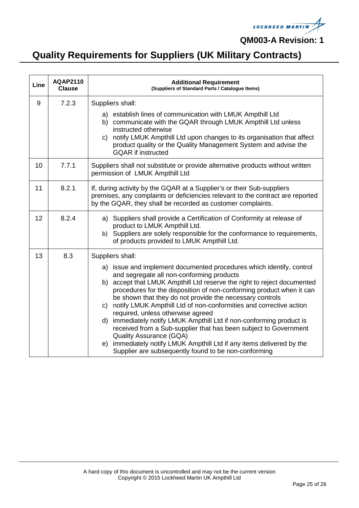

| Line | <b>AQAP2110</b><br><b>Clause</b> | <b>Additional Requirement</b><br>(Suppliers of Standard Parts / Catalogue Items)                                                                                                                                                                                                                                                                                                                                                                                   |
|------|----------------------------------|--------------------------------------------------------------------------------------------------------------------------------------------------------------------------------------------------------------------------------------------------------------------------------------------------------------------------------------------------------------------------------------------------------------------------------------------------------------------|
| 9    | 7.2.3                            | Suppliers shall:<br>a) establish lines of communication with LMUK Ampthill Ltd                                                                                                                                                                                                                                                                                                                                                                                     |
|      |                                  | b) communicate with the GQAR through LMUK Ampthill Ltd unless<br>instructed otherwise<br>c) notify LMUK Ampthill Ltd upon changes to its organisation that affect<br>product quality or the Quality Management System and advise the<br><b>GQAR</b> if instructed                                                                                                                                                                                                  |
| 10   | 7.7.1                            | Suppliers shall not substitute or provide alternative products without written<br>permission of LMUK Ampthill Ltd                                                                                                                                                                                                                                                                                                                                                  |
| 11   | 8.2.1                            | If, during activity by the GQAR at a Supplier's or their Sub-suppliers<br>premises, any complaints or deficiencies relevant to the contract are reported<br>by the GQAR, they shall be recorded as customer complaints.                                                                                                                                                                                                                                            |
| 12   | 8.2.4                            | a) Suppliers shall provide a Certification of Conformity at release of<br>product to LMUK Ampthill Ltd.<br>b) Suppliers are solely responsible for the conformance to requirements,<br>of products provided to LMUK Ampthill Ltd.                                                                                                                                                                                                                                  |
| 13   | 8.3                              | Suppliers shall:<br>a) issue and implement documented procedures which identify, control<br>and segregate all non-conforming products<br>b) accept that LMUK Ampthill Ltd reserve the right to reject documented<br>procedures for the disposition of non-conforming product when it can<br>be shown that they do not provide the necessary controls<br>c) notify LMUK Ampthill Ltd of non-conformities and corrective action<br>required, unless otherwise agreed |
|      |                                  | immediately notify LMUK Ampthill Ltd if non-conforming product is<br>d)<br>received from a Sub-supplier that has been subject to Government<br><b>Quality Assurance (GQA)</b><br>immediately notify LMUK Ampthill Ltd if any items delivered by the<br>e)<br>Supplier are subsequently found to be non-conforming                                                                                                                                                  |